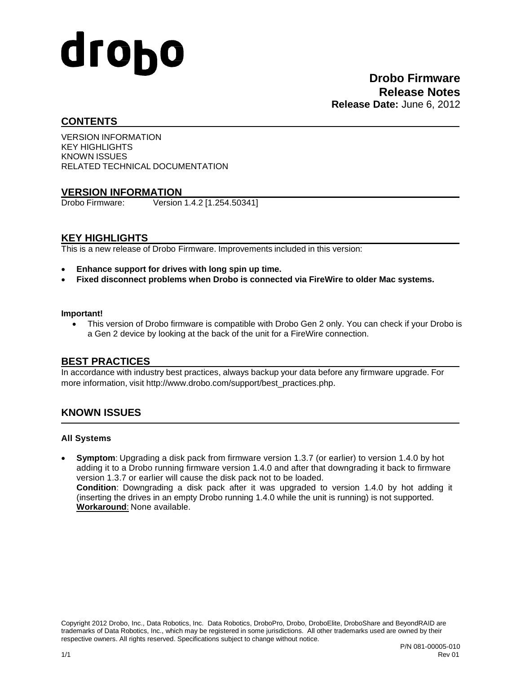# drobo

# **CONTENTS**

VERSION INFORMATION KEY HIGHLIGHTS KNOWN ISSUES RELATED TECHNICAL DOCUMENTATION

# **VERSION INFORMATION**<br>**Drobo Firmware:** Version

Version 1.4.2 [1.254.50341]

# **KEY HIGHLIGHTS**

This is a new release of Drobo Firmware. Improvements included in this version:

- **Enhance support for drives with long spin up time.**
- **Fixed disconnect problems when Drobo is connected via FireWire to older Mac systems.**

#### **Important!**

• This version of Drobo firmware is compatible with Drobo Gen 2 only. You can check if your Drobo is a Gen 2 device by looking at the back of the unit for a FireWire connection.

#### **BEST PRACTICES**

In accordance with industry best practices, always backup your data before any firmware upgrade. For more information, visit [http://www.drobo.com/support/best\\_practices.php](http://www.drobo.com/support/best_practices.php).

# **KNOWN ISSUES**

#### **All Systems**

• **Symptom**: Upgrading a disk pack from firmware version 1.3.7 (or earlier) to version 1.4.0 by hot adding it to a Drobo running firmware version 1.4.0 and after that downgrading it back to firmware version 1.3.7 or earlier will cause the disk pack not to be loaded. **Condition**: Downgrading a disk pack after it was upgraded to version 1.4.0 by hot adding it (inserting the drives in an empty Drobo running 1.4.0 while the unit is running) is not supported. **Workaround**: None available.

Copyright 2012 Drobo, Inc., Data Robotics, Inc. Data Robotics, DroboPro, Drobo, DroboElite, DroboShare and BeyondRAID are trademarks of Data Robotics, Inc., which may be registered in some jurisdictions. All other trademarks used are owned by their respective owners. All rights reserved. Specifications subject to change without notice.